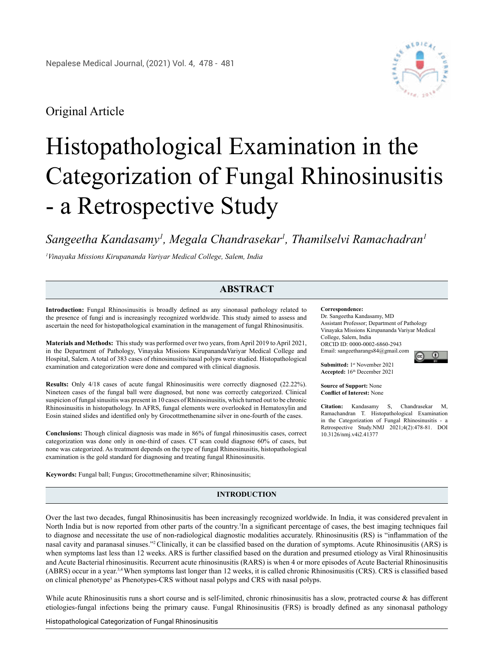## Original Article

# Histopathological Examination in the Categorization of Fungal Rhinosinusitis - a Retrospective Study

*Sangeetha Kandasamy1 , Megala Chandrasekar1 , Thamilselvi Ramachadran1*

*1 Vinayaka Missions Kirupananda Variyar Medical College, Salem, India*

### **ABSTRACT**

**Introduction:** Fungal Rhinosinusitis is broadly defined as any sinonasal pathology related to the presence of fungi and is increasingly recognized worldwide. This study aimed to assess and ascertain the need for histopathological examination in the management of fungal Rhinosinusitis.

**Materials and Methods:** This study was performed over two years, from April 2019 to April 2021, in the Department of Pathology, Vinayaka Missions KirupanandaVariyar Medical College and Hospital, Salem. A total of 383 cases of rhinosinusitis/nasal polyps were studied. Histopathological examination and categorization were done and compared with clinical diagnosis.

**Results:** Only 4/18 cases of acute fungal Rhinosinusitis were correctly diagnosed (22.22%). Nineteen cases of the fungal ball were diagnosed, but none was correctly categorized. Clinical suspicion of fungal sinusitis was present in 10 cases of Rhinosinusitis, which turned out to be chronic Rhinosinusitis in histopathology. In AFRS, fungal elements were overlooked in Hematoxylin and Eosin stained slides and identified only by Grocottmethenamine silver in one-fourth of the cases.

**Conclusions:** Though clinical diagnosis was made in 86% of fungal rhinosinusitis cases, correct categorization was done only in one-third of cases. CT scan could diagnose 60% of cases, but none was categorized. As treatment depends on the type of fungal Rhinosinusitis, histopathological examination is the gold standard for diagnosing and treating fungal Rhinosinusitis.

**Keywords:** Fungal ball; Fungus; Grocottmethenamine silver; Rhinosinusitis;

#### **Correspondence:**

Dr. Sangeetha Kandasamy, MD Assistant Professor; Department of Pathology Vinayaka Missions Kirupananda Variyar Medical College, Salem, India ORCID ID: 0000-0002-6860-2943 Email: sangeetharangs84@gmail.com െ ⊚െ

**Submitted:** 1st November 2021 **Accepted:** 16th December 2021

**Source of Support:** None **Conflict of Interest:** None

**Citation:** Kandasamy S, Chandrasekar M, Ramachandran T. Histopathological Examination in the Categorization of Fungal Rhinosinusitis - a Retrospective Study.NMJ 2021;4(2):478-81. DOI 10.3126/nmj.v4i2.41377

#### **INTRODUCTION**

Over the last two decades, fungal Rhinosinusitis has been increasingly recognized worldwide. In India, it was considered prevalent in North India but is now reported from other parts of the country.<sup>1</sup>In a significant percentage of cases, the best imaging techniques fail to diagnose and necessitate the use of non-radiological diagnostic modalities accurately. Rhinosinusitis (RS) is "inflammation of the nasal cavity and paranasal sinuses."2 Clinically, it can be classified based on the duration of symptoms. Acute Rhinosinusitis (ARS) is when symptoms last less than 12 weeks. ARS is further classified based on the duration and presumed etiology as Viral Rhinosinusitis and Acute Bacterial rhinosinusitis. Recurrent acute rhinosinusitis (RARS) is when 4 or more episodes of Acute Bacterial Rhinosinusitis (ABRS) occur in a year.3,4 When symptoms last longer than 12 weeks, it is called chronic Rhinosinusitis (CRS). CRS is classified based on clinical phenotype<sup>5</sup> as Phenotypes-CRS without nasal polyps and CRS with nasal polyps.

While acute Rhinosinusitis runs a short course and is self-limited, chronic rhinosinusitis has a slow, protracted course & has different etiologies-fungal infections being the primary cause. Fungal Rhinosinusitis (FRS) is broadly defined as any sinonasal pathology

Histopathological Categorization of Fungal Rhinosinusitis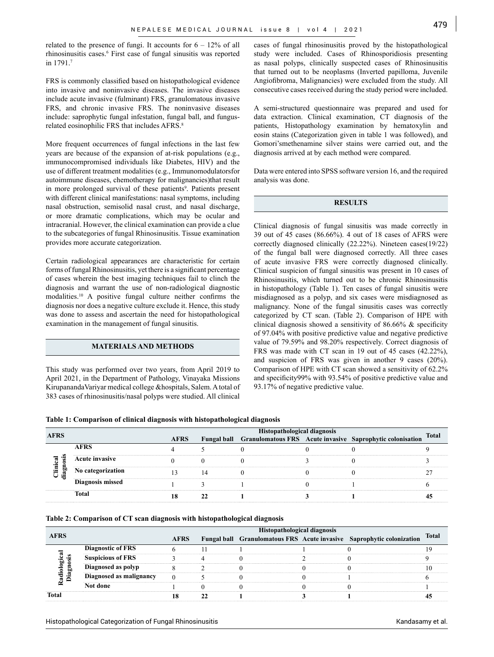related to the presence of fungi. It accounts for  $6 - 12\%$  of all rhinosinusitis cases.6 First case of fungal sinusitis was reported in 1791.7

FRS is commonly classified based on histopathological evidence into invasive and noninvasive diseases. The invasive diseases include acute invasive (fulminant) FRS, granulomatous invasive FRS, and chronic invasive FRS. The noninvasive diseases include: saprophytic fungal infestation, fungal ball, and fungusrelated eosinophilic FRS that includes AFRS.<sup>8</sup>

More frequent occurrences of fungal infections in the last few years are because of the expansion of at-risk populations (e.g., immunocompromised individuals like Diabetes, HIV) and the use of different treatment modalities (e.g., Immunomodulatorsfor autoimmune diseases, chemotherapy for malignancies)that result in more prolonged survival of these patients<sup>9</sup>. Patients present with different clinical manifestations: nasal symptoms, including nasal obstruction, semisolid nasal crust, and nasal discharge, or more dramatic complications, which may be ocular and intracranial. However, the clinical examination can provide a clue to the subcategories of fungal Rhinosinusitis. Tissue examination provides more accurate categorization.

Certain radiological appearances are characteristic for certain forms of fungal Rhinosinusitis, yet there is a significant percentage of cases wherein the best imaging techniques fail to clinch the diagnosis and warrant the use of non-radiological diagnostic modalities.10 A positive fungal culture neither confirms the diagnosis nor does a negative culture exclude it. Hence, this study was done to assess and ascertain the need for histopathological examination in the management of fungal sinusitis.

#### **MATERIALS AND METHODS**

This study was performed over two years, from April 2019 to April 2021, in the Department of Pathology, Vinayaka Missions KirupanandaVariyar medical college &hospitals, Salem. A total of 383 cases of rhinosinusitis/nasal polyps were studied. All clinical cases of fungal rhinosinusitis proved by the histopathological study were included. Cases of Rhinosporidiosis presenting as nasal polyps, clinically suspected cases of Rhinosinusitis that turned out to be neoplasms (Inverted papilloma, Juvenile Angiofibroma, Malignancies) were excluded from the study. All consecutive cases received during the study period were included.

A semi-structured questionnaire was prepared and used for data extraction. Clinical examination, CT diagnosis of the patients, Histopathology examination by hematoxylin and eosin stains (Categorization given in table 1 was followed), and Gomori'smethenamine silver stains were carried out, and the diagnosis arrived at by each method were compared.

Data were entered into SPSS software version 16, and the required analysis was done.

#### **RESULTS**

Clinical diagnosis of fungal sinusitis was made correctly in 39 out of 45 cases (86.66%). 4 out of 18 cases of AFRS were correctly diagnosed clinically (22.22%). Nineteen cases(19/22) of the fungal ball were diagnosed correctly. All three cases of acute invasive FRS were correctly diagnosed clinically. Clinical suspicion of fungal sinusitis was present in 10 cases of Rhinosinusitis, which turned out to be chronic Rhinosinusitis in histopathology (Table 1). Ten cases of fungal sinusitis were misdiagnosed as a polyp, and six cases were misdiagnosed as malignancy. None of the fungal sinusitis cases was correctly categorized by CT scan. (Table 2). Comparison of HPE with clinical diagnosis showed a sensitivity of 86.66% & specificity of 97.04% with positive predictive value and negative predictive value of 79.59% and 98.20% respectively. Correct diagnosis of FRS was made with CT scan in 19 out of 45 cases (42.22%), and suspicion of FRS was given in another 9 cases (20%). Comparison of HPE with CT scan showed a sensitivity of 62.2% and specificity99% with 93.54% of positive predictive value and 93.17% of negative predictive value.

**Table 1: Comparison of clinical diagnosis with histopathological diagnosis**

| <b>AFRS</b> |                       | Histopathological diagnosis<br>Fungal ball Granulomatous FRS Acute invasive Saprophytic colonisation |  |  |  |  |       |  |
|-------------|-----------------------|------------------------------------------------------------------------------------------------------|--|--|--|--|-------|--|
|             |                       | <b>AFRS</b>                                                                                          |  |  |  |  | Total |  |
| ឆ្នា<br>੶੩  | <b>AFRS</b>           |                                                                                                      |  |  |  |  |       |  |
|             | <b>Acute invasive</b> |                                                                                                      |  |  |  |  |       |  |
|             | No categorization     |                                                                                                      |  |  |  |  |       |  |
|             | Diagnosis missed      |                                                                                                      |  |  |  |  |       |  |
|             | Total                 |                                                                                                      |  |  |  |  |       |  |

**Table 2: Comparison of CT scan diagnosis with histopathological diagnosis**

|                  |                          |             | Histopathological diagnosis |  |  |                                                                       |              |
|------------------|--------------------------|-------------|-----------------------------|--|--|-----------------------------------------------------------------------|--------------|
| <b>AFRS</b>      |                          | <b>AFRS</b> |                             |  |  | Fungal ball Granulomatous FRS Acute invasive Saprophytic colonization | <b>Total</b> |
|                  | <b>Diagnostic of FRS</b> |             |                             |  |  |                                                                       |              |
| ogica<br>śis     | <b>Suspicious of FRS</b> |             |                             |  |  |                                                                       |              |
|                  | Diagnosed as polyp       |             |                             |  |  |                                                                       |              |
| Diagn<br>Radiolo | Diagnosed as malignancy  |             |                             |  |  |                                                                       |              |
|                  | Not done                 |             |                             |  |  |                                                                       |              |
| Total            |                          |             |                             |  |  |                                                                       |              |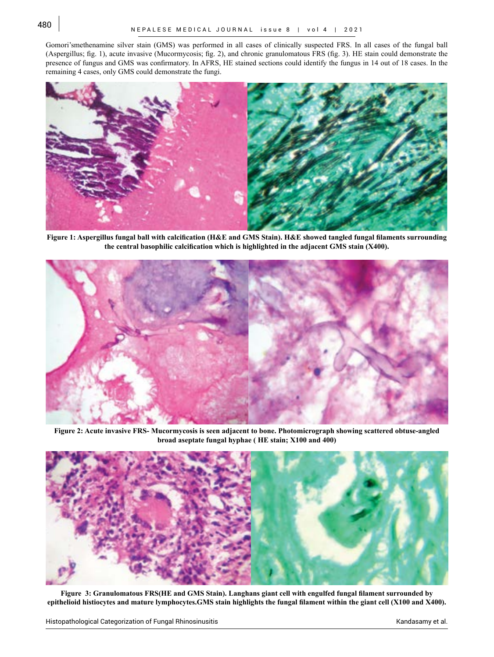Gomori'smethenamine silver stain (GMS) was performed in all cases of clinically suspected FRS. In all cases of the fungal ball (Aspergillus; fig. 1), acute invasive (Mucormycosis; fig. 2), and chronic granulomatous FRS (fig. 3). HE stain could demonstrate the presence of fungus and GMS was confirmatory. In AFRS, HE stained sections could identify the fungus in 14 out of 18 cases. In the remaining 4 cases, only GMS could demonstrate the fungi.



**Figure 1: Aspergillus fungal ball with calcification (H&E and GMS Stain). H&E showed tangled fungal filaments surrounding the central basophilic calcification which is highlighted in the adjacent GMS stain (X400).**



**Figure 2: Acute invasive FRS- Mucormycosis is seen adjacent to bone. Photomicrograph showing scattered obtuse-angled broad aseptate fungal hyphae ( HE stain; X100 and 400)**



**Figure 3: Granulomatous FRS(HE and GMS Stain). Langhans giant cell with engulfed fungal filament surrounded by epithelioid histiocytes and mature lymphocytes.GMS stain highlights the fungal filament within the giant cell (X100 and X400).**